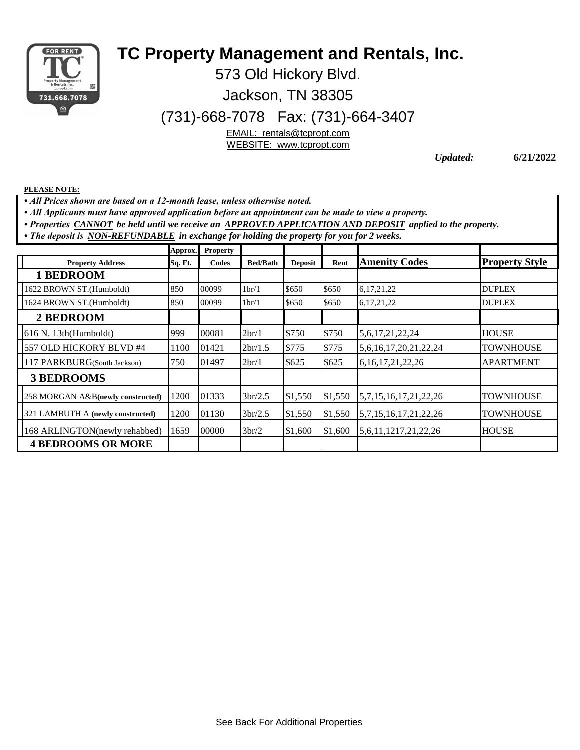

## **TC Property Management and Rentals, Inc.**

573 Old Hickory Blvd.

Jackson, TN 38305

(731)-668-7078 Fax: (731)-664-3407

EMAIL: rentals@tcpropt.com

WEBSITE: www.tcpropt.com

*Updated:* **6/21/2022**

**PLEASE NOTE:**

*• All Prices shown are based on a 12-month lease, unless otherwise noted.* 

*• All Applicants must have approved application before an appointment can be made to view a property.* 

*• Properties CANNOT be held until we receive an APPROVED APPLICATION AND DEPOSIT applied to the property.*

*• The deposit is NON-REFUNDABLE in exchange for holding the property for you for 2 weeks.*

|                                   | Approx.        | <b>Property</b> |                    |                |         |                                      |                       |
|-----------------------------------|----------------|-----------------|--------------------|----------------|---------|--------------------------------------|-----------------------|
| <b>Property Address</b>           | <b>Sq. Ft.</b> | Codes           | <b>Bed/Bath</b>    | <b>Deposit</b> | Rent    | <b>Amenity Codes</b>                 | <b>Property Style</b> |
| 1 BEDROOM                         |                |                 |                    |                |         |                                      |                       |
| 1622 BROWN ST.(Humboldt)          | 850            | 00099           | 1 <sub>br</sub> /1 | \$650          | \$650   | 6, 17, 21, 22                        | <b>DUPLEX</b>         |
| 1624 BROWN ST.(Humboldt)          | 850            | 00099           | 1 <sub>br</sub> /1 | \$650          | \$650   | 6, 17, 21, 22                        | <b>DUPLEX</b>         |
| 2 BEDROOM                         |                |                 |                    |                |         |                                      |                       |
| 616 N. 13th(Humboldt)             | 999            | 00081           | 2br/1              | \$750          | \$750   | 5,6,17,21,22,24                      | <b>HOUSE</b>          |
| 557 OLD HICKORY BLVD #4           | 1100           | 01421           | 2br/1.5            | \$775          | \$775   | 5,6,16,17,20,21,22,24                | TOWNHOUSE             |
| 117 PARKBURG(South Jackson)       | 750            | 01497           | 2br/1              | \$625          | \$625   | 6, 16, 17, 21, 22, 26                | <b>APARTMENT</b>      |
| <b>3 BEDROOMS</b>                 |                |                 |                    |                |         |                                      |                       |
| 258 MORGAN A&B(newly constructed) | 1200           | 01333           | 3br/2.5            | \$1,550        | \$1,550 | $\left[5,7,15,16,17,21,22,26\right]$ | TOWNHOUSE             |
| 321 LAMBUTH A (newly constructed) | 1200           | 01130           | 3br/2.5            | \$1,550        | \$1,550 | 5,7,15,16,17,21,22,26                | <b>TOWNHOUSE</b>      |
| 168 ARLINGTON(newly rehabbed)     | 1659           | 00000           | 3br/2              | \$1,600        | \$1,600 | 5,6,11,1217,21,22,26                 | <b>HOUSE</b>          |
| <b>4 BEDROOMS OR MORE</b>         |                |                 |                    |                |         |                                      |                       |